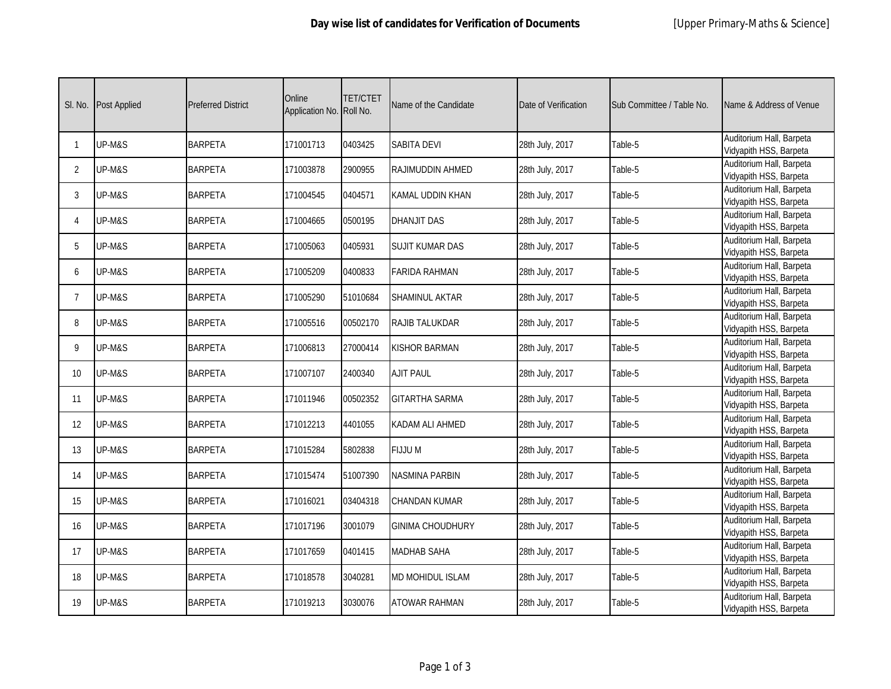| SI. No.        | <b>Post Applied</b> | <b>Preferred District</b> | Online<br>Application No. | <b>TET/CTET</b><br>Roll No. | Name of the Candidate   | Date of Verification | Sub Committee / Table No. | Name & Address of Venue                            |
|----------------|---------------------|---------------------------|---------------------------|-----------------------------|-------------------------|----------------------|---------------------------|----------------------------------------------------|
| 1              | UP-M&S              | <b>BARPETA</b>            | 171001713                 | 0403425                     | <b>SABITA DEVI</b>      | 28th July, 2017      | Table-5                   | Auditorium Hall, Barpeta<br>Vidyapith HSS, Barpeta |
| $\overline{2}$ | UP-M&S              | <b>BARPETA</b>            | 171003878                 | 2900955                     | RAJIMUDDIN AHMED        | 28th July, 2017      | Table-5                   | Auditorium Hall, Barpeta<br>Vidyapith HSS, Barpeta |
| 3              | UP-M&S              | <b>BARPETA</b>            | 171004545                 | 0404571                     | <b>KAMAL UDDIN KHAN</b> | 28th July, 2017      | Table-5                   | Auditorium Hall, Barpeta<br>Vidyapith HSS, Barpeta |
| 4              | UP-M&S              | <b>BARPETA</b>            | 171004665                 | 0500195                     | <b>DHANJIT DAS</b>      | 28th July, 2017      | Table-5                   | Auditorium Hall, Barpeta<br>Vidyapith HSS, Barpeta |
| 5              | UP-M&S              | <b>BARPETA</b>            | 171005063                 | 0405931                     | <b>SUJIT KUMAR DAS</b>  | 28th July, 2017      | Table-5                   | Auditorium Hall, Barpeta<br>Vidyapith HSS, Barpeta |
| 6              | UP-M&S              | <b>BARPETA</b>            | 171005209                 | 0400833                     | <b>FARIDA RAHMAN</b>    | 28th July, 2017      | Table-5                   | Auditorium Hall, Barpeta<br>Vidyapith HSS, Barpeta |
| 7              | UP-M&S              | <b>BARPETA</b>            | 171005290                 | 51010684                    | <b>SHAMINUL AKTAR</b>   | 28th July, 2017      | Table-5                   | Auditorium Hall, Barpeta<br>Vidyapith HSS, Barpeta |
| 8              | UP-M&S              | <b>BARPETA</b>            | 171005516                 | 00502170                    | RAJIB TALUKDAR          | 28th July, 2017      | Table-5                   | Auditorium Hall, Barpeta<br>Vidyapith HSS, Barpeta |
| 9              | UP-M&S              | <b>BARPETA</b>            | 171006813                 | 27000414                    | <b>KISHOR BARMAN</b>    | 28th July, 2017      | Table-5                   | Auditorium Hall, Barpeta<br>Vidyapith HSS, Barpeta |
| 10             | UP-M&S              | <b>BARPETA</b>            | 171007107                 | 2400340                     | <b>AJIT PAUL</b>        | 28th July, 2017      | Table-5                   | Auditorium Hall, Barpeta<br>Vidyapith HSS, Barpeta |
| 11             | UP-M&S              | <b>BARPETA</b>            | 171011946                 | 00502352                    | <b>GITARTHA SARMA</b>   | 28th July, 2017      | Table-5                   | Auditorium Hall, Barpeta<br>Vidyapith HSS, Barpeta |
| 12             | UP-M&S              | <b>BARPETA</b>            | 171012213                 | 4401055                     | KADAM ALI AHMED         | 28th July, 2017      | Table-5                   | Auditorium Hall, Barpeta<br>Vidyapith HSS, Barpeta |
| 13             | UP-M&S              | <b>BARPETA</b>            | 171015284                 | 5802838                     | <b>FIJJUM</b>           | 28th July, 2017      | Table-5                   | Auditorium Hall, Barpeta<br>Vidyapith HSS, Barpeta |
| 14             | UP-M&S              | <b>BARPETA</b>            | 171015474                 | 51007390                    | <b>NASMINA PARBIN</b>   | 28th July, 2017      | Table-5                   | Auditorium Hall, Barpeta<br>Vidyapith HSS, Barpeta |
| 15             | UP-M&S              | <b>BARPETA</b>            | 171016021                 | 03404318                    | <b>CHANDAN KUMAR</b>    | 28th July, 2017      | Table-5                   | Auditorium Hall, Barpeta<br>Vidyapith HSS, Barpeta |
| 16             | UP-M&S              | <b>BARPETA</b>            | 171017196                 | 3001079                     | <b>GINIMA CHOUDHURY</b> | 28th July, 2017      | Table-5                   | Auditorium Hall, Barpeta<br>Vidyapith HSS, Barpeta |
| 17             | UP-M&S              | <b>BARPETA</b>            | 171017659                 | 0401415                     | <b>MADHAB SAHA</b>      | 28th July, 2017      | Table-5                   | Auditorium Hall, Barpeta<br>Vidyapith HSS, Barpeta |
| 18             | UP-M&S              | <b>BARPETA</b>            | 171018578                 | 3040281                     | <b>MD MOHIDUL ISLAM</b> | 28th July, 2017      | Table-5                   | Auditorium Hall, Barpeta<br>Vidyapith HSS, Barpeta |
| 19             | UP-M&S              | <b>BARPETA</b>            | 171019213                 | 3030076                     | <b>ATOWAR RAHMAN</b>    | 28th July, 2017      | Table-5                   | Auditorium Hall, Barpeta<br>Vidyapith HSS, Barpeta |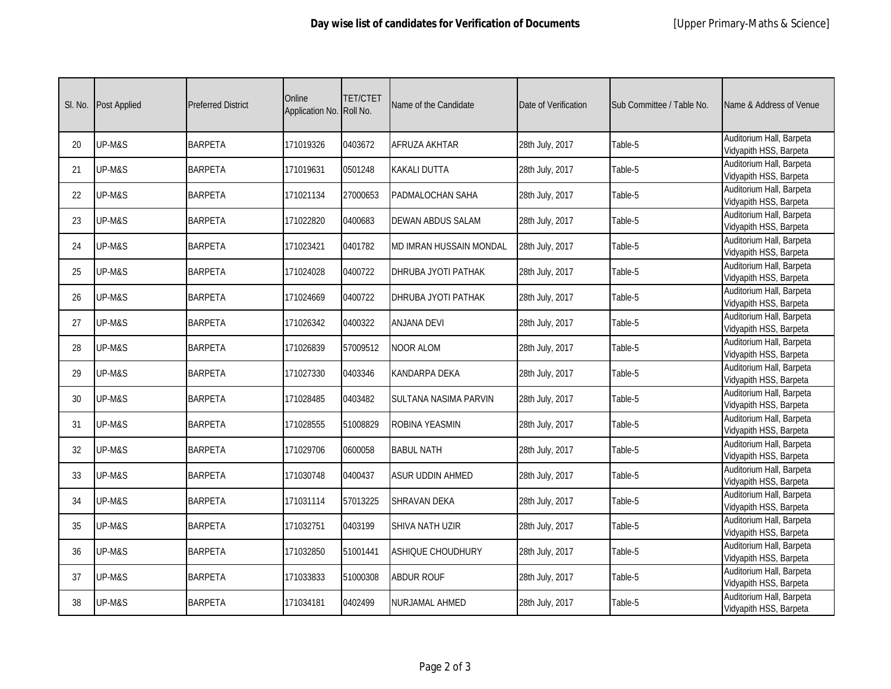| SI. No. | <b>Post Applied</b> | <b>Preferred District</b> | Online<br>Application No. | TET/CTET<br>Roll No. | Name of the Candidate          | Date of Verification | Sub Committee / Table No. | Name & Address of Venue                            |
|---------|---------------------|---------------------------|---------------------------|----------------------|--------------------------------|----------------------|---------------------------|----------------------------------------------------|
| 20      | UP-M&S              | <b>BARPETA</b>            | 171019326                 | 0403672              | AFRUZA AKHTAR                  | 28th July, 2017      | Table-5                   | Auditorium Hall, Barpeta<br>Vidyapith HSS, Barpeta |
| 21      | UP-M&S              | <b>BARPETA</b>            | 171019631                 | 0501248              | <b>KAKALI DUTTA</b>            | 28th July, 2017      | Table-5                   | Auditorium Hall, Barpeta<br>Vidyapith HSS, Barpeta |
| 22      | UP-M&S              | <b>BARPETA</b>            | 171021134                 | 27000653             | <b>PADMALOCHAN SAHA</b>        | 28th July, 2017      | Table-5                   | Auditorium Hall, Barpeta<br>Vidyapith HSS, Barpeta |
| 23      | UP-M&S              | <b>BARPETA</b>            | 171022820                 | 0400683              | <b>DEWAN ABDUS SALAM</b>       | 28th July, 2017      | Table-5                   | Auditorium Hall, Barpeta<br>Vidyapith HSS, Barpeta |
| 24      | UP-M&S              | <b>BARPETA</b>            | 171023421                 | 0401782              | <b>MD IMRAN HUSSAIN MONDAL</b> | 28th July, 2017      | Table-5                   | Auditorium Hall, Barpeta<br>Vidyapith HSS, Barpeta |
| 25      | UP-M&S              | <b>BARPETA</b>            | 171024028                 | 0400722              | DHRUBA JYOTI PATHAK            | 28th July, 2017      | Table-5                   | Auditorium Hall, Barpeta<br>Vidyapith HSS, Barpeta |
| 26      | UP-M&S              | <b>BARPETA</b>            | 171024669                 | 0400722              | <b>DHRUBA JYOTI PATHAK</b>     | 28th July, 2017      | Table-5                   | Auditorium Hall, Barpeta<br>Vidyapith HSS, Barpeta |
| 27      | UP-M&S              | <b>BARPETA</b>            | 171026342                 | 0400322              | <b>ANJANA DEVI</b>             | 28th July, 2017      | Table-5                   | Auditorium Hall, Barpeta<br>Vidyapith HSS, Barpeta |
| 28      | UP-M&S              | <b>BARPETA</b>            | 171026839                 | 57009512             | <b>NOOR ALOM</b>               | 28th July, 2017      | Table-5                   | Auditorium Hall, Barpeta<br>Vidyapith HSS, Barpeta |
| 29      | UP-M&S              | <b>BARPETA</b>            | 171027330                 | 0403346              | KANDARPA DEKA                  | 28th July, 2017      | Table-5                   | Auditorium Hall, Barpeta<br>Vidyapith HSS, Barpeta |
| 30      | UP-M&S              | <b>BARPETA</b>            | 171028485                 | 0403482              | SULTANA NASIMA PARVIN          | 28th July, 2017      | Table-5                   | Auditorium Hall, Barpeta<br>Vidyapith HSS, Barpeta |
| 31      | UP-M&S              | <b>BARPETA</b>            | 171028555                 | 51008829             | ROBINA YEASMIN                 | 28th July, 2017      | Table-5                   | Auditorium Hall, Barpeta<br>Vidyapith HSS, Barpeta |
| 32      | UP-M&S              | <b>BARPETA</b>            | 171029706                 | 0600058              | <b>BABUL NATH</b>              | 28th July, 2017      | Table-5                   | Auditorium Hall, Barpeta<br>Vidyapith HSS, Barpeta |
| 33      | UP-M&S              | <b>BARPETA</b>            | 171030748                 | 0400437              | <b>ASUR UDDIN AHMED</b>        | 28th July, 2017      | Table-5                   | Auditorium Hall, Barpeta<br>Vidyapith HSS, Barpeta |
| 34      | UP-M&S              | <b>BARPETA</b>            | 171031114                 | 57013225             | <b>SHRAVAN DEKA</b>            | 28th July, 2017      | Table-5                   | Auditorium Hall, Barpeta<br>Vidyapith HSS, Barpeta |
| 35      | UP-M&S              | <b>BARPETA</b>            | 171032751                 | 0403199              | SHIVA NATH UZIR                | 28th July, 2017      | Table-5                   | Auditorium Hall, Barpeta<br>Vidyapith HSS, Barpeta |
| 36      | UP-M&S              | <b>BARPETA</b>            | 171032850                 | 51001441             | <b>ASHIQUE CHOUDHURY</b>       | 28th July, 2017      | Table-5                   | Auditorium Hall, Barpeta<br>Vidyapith HSS, Barpeta |
| 37      | UP-M&S              | <b>BARPETA</b>            | 171033833                 | 51000308             | <b>ABDUR ROUF</b>              | 28th July, 2017      | Table-5                   | Auditorium Hall, Barpeta<br>Vidyapith HSS, Barpeta |
| 38      | UP-M&S              | <b>BARPETA</b>            | 171034181                 | 0402499              | NURJAMAL AHMED                 | 28th July, 2017      | Table-5                   | Auditorium Hall, Barpeta<br>Vidyapith HSS, Barpeta |